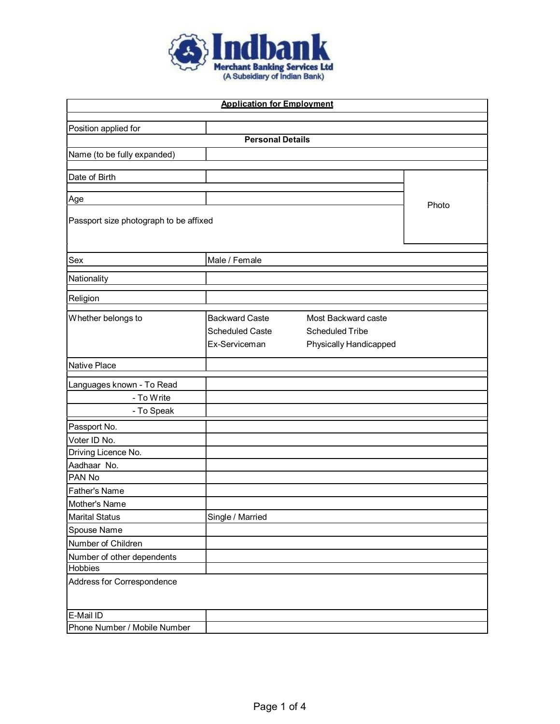

| <b>Application for Employment</b>               |                                                  |       |  |  |  |
|-------------------------------------------------|--------------------------------------------------|-------|--|--|--|
|                                                 |                                                  |       |  |  |  |
| Position applied for<br><b>Personal Details</b> |                                                  |       |  |  |  |
|                                                 |                                                  |       |  |  |  |
| Name (to be fully expanded)                     |                                                  |       |  |  |  |
| Date of Birth                                   |                                                  |       |  |  |  |
|                                                 |                                                  |       |  |  |  |
| Age                                             |                                                  | Photo |  |  |  |
| Passport size photograph to be affixed          |                                                  |       |  |  |  |
|                                                 |                                                  |       |  |  |  |
| Sex                                             | Male / Female                                    |       |  |  |  |
| Nationality                                     |                                                  |       |  |  |  |
|                                                 |                                                  |       |  |  |  |
| Religion                                        |                                                  |       |  |  |  |
| Whether belongs to                              | <b>Backward Caste</b><br>Most Backward caste     |       |  |  |  |
|                                                 | <b>Scheduled Caste</b><br><b>Scheduled Tribe</b> |       |  |  |  |
|                                                 | Ex-Serviceman<br>Physically Handicapped          |       |  |  |  |
| Native Place                                    |                                                  |       |  |  |  |
| Languages known - To Read                       |                                                  |       |  |  |  |
| - To Write                                      |                                                  |       |  |  |  |
| - To Speak                                      |                                                  |       |  |  |  |
| Passport No.                                    |                                                  |       |  |  |  |
| Voter ID No.                                    |                                                  |       |  |  |  |
| Driving Licence No.                             |                                                  |       |  |  |  |
| Aadhaar No.                                     |                                                  |       |  |  |  |
| PAN No                                          |                                                  |       |  |  |  |
| Father's Name                                   |                                                  |       |  |  |  |
| Mother's Name                                   |                                                  |       |  |  |  |
| Marital Status                                  | Single / Married                                 |       |  |  |  |
| Spouse Name                                     |                                                  |       |  |  |  |
| Number of Children                              |                                                  |       |  |  |  |
| Number of other dependents                      |                                                  |       |  |  |  |
|                                                 | Hobbies                                          |       |  |  |  |
| Address for Correspondence                      |                                                  |       |  |  |  |
| E-Mail ID                                       |                                                  |       |  |  |  |
| Phone Number / Mobile Number                    |                                                  |       |  |  |  |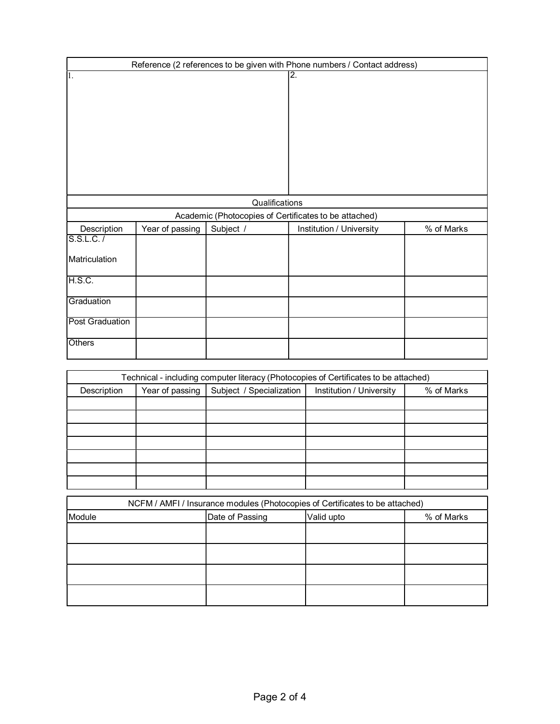| Reference (2 references to be given with Phone numbers / Contact address) |                 |                |                                                       |            |
|---------------------------------------------------------------------------|-----------------|----------------|-------------------------------------------------------|------------|
| Ī.                                                                        |                 |                | $\overline{2}$ .                                      |            |
|                                                                           |                 | Qualifications |                                                       |            |
|                                                                           |                 |                | Academic (Photocopies of Certificates to be attached) |            |
| Description                                                               | Year of passing | Subject /      | Institution / University                              | % of Marks |
| S.S.L.C. /                                                                |                 |                |                                                       |            |
| Matriculation                                                             |                 |                |                                                       |            |
| H.S.C.                                                                    |                 |                |                                                       |            |
| Graduation                                                                |                 |                |                                                       |            |
| <b>Post Graduation</b>                                                    |                 |                |                                                       |            |
| Others                                                                    |                 |                |                                                       |            |

| Technical - including computer literacy (Photocopies of Certificates to be attached) |                 |                          |                                        |  |  |  |
|--------------------------------------------------------------------------------------|-----------------|--------------------------|----------------------------------------|--|--|--|
| Description                                                                          | Year of passing | Subject / Specialization | Institution / University<br>% of Marks |  |  |  |
|                                                                                      |                 |                          |                                        |  |  |  |
|                                                                                      |                 |                          |                                        |  |  |  |
|                                                                                      |                 |                          |                                        |  |  |  |
|                                                                                      |                 |                          |                                        |  |  |  |
|                                                                                      |                 |                          |                                        |  |  |  |
|                                                                                      |                 |                          |                                        |  |  |  |
|                                                                                      |                 |                          |                                        |  |  |  |

| NCFM / AMFI / Insurance modules (Photocopies of Certificates to be attached) |                 |            |            |  |
|------------------------------------------------------------------------------|-----------------|------------|------------|--|
| Module                                                                       | Date of Passing | Valid upto | % of Marks |  |
|                                                                              |                 |            |            |  |
|                                                                              |                 |            |            |  |
|                                                                              |                 |            |            |  |
|                                                                              |                 |            |            |  |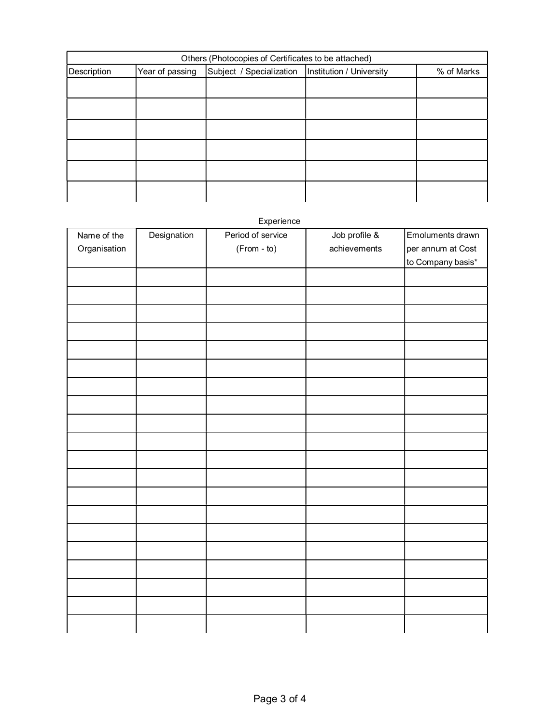| Others (Photocopies of Certificates to be attached) |                                                                                      |  |  |  |  |  |
|-----------------------------------------------------|--------------------------------------------------------------------------------------|--|--|--|--|--|
| Description                                         | Subject / Specialization   Institution / University<br>Year of passing<br>% of Marks |  |  |  |  |  |
|                                                     |                                                                                      |  |  |  |  |  |
|                                                     |                                                                                      |  |  |  |  |  |
|                                                     |                                                                                      |  |  |  |  |  |
|                                                     |                                                                                      |  |  |  |  |  |
|                                                     |                                                                                      |  |  |  |  |  |
|                                                     |                                                                                      |  |  |  |  |  |

## Experience

| Name of the  | Designation | Period of service | Job profile $\&$ | Emoluments drawn  |
|--------------|-------------|-------------------|------------------|-------------------|
| Organisation |             | (From - to)       | achievements     | per annum at Cost |
|              |             |                   |                  | to Company basis* |
|              |             |                   |                  |                   |
|              |             |                   |                  |                   |
|              |             |                   |                  |                   |
|              |             |                   |                  |                   |
|              |             |                   |                  |                   |
|              |             |                   |                  |                   |
|              |             |                   |                  |                   |
|              |             |                   |                  |                   |
|              |             |                   |                  |                   |
|              |             |                   |                  |                   |
|              |             |                   |                  |                   |
|              |             |                   |                  |                   |
|              |             |                   |                  |                   |
|              |             |                   |                  |                   |
|              |             |                   |                  |                   |
|              |             |                   |                  |                   |
|              |             |                   |                  |                   |
|              |             |                   |                  |                   |
|              |             |                   |                  |                   |
|              |             |                   |                  |                   |
|              |             |                   |                  |                   |
|              |             |                   |                  |                   |
|              |             |                   |                  |                   |
|              |             |                   |                  |                   |
|              |             |                   |                  |                   |
|              |             |                   |                  |                   |
|              |             |                   |                  |                   |